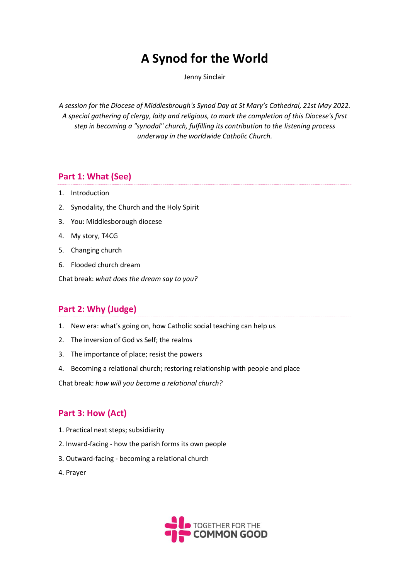# **A Synod for the World**

Jenny Sinclair

*A session for the Diocese of Middlesbrough's Synod Day at St Mary's Cathedral, 21st May 2022. A special gathering of clergy, laity and religious, to mark the completion of this Diocese's first step in becoming a "synodal" church, fulfilling its contribution to the listening process underway in the worldwide Catholic Church.*

# **Part 1: What (See)**

- 1. Introduction
- 2. Synodality, the Church and the Holy Spirit
- 3. You: Middlesborough diocese
- 4. My story, T4CG
- 5. Changing church
- 6. Flooded church dream

Chat break: *what does the dream say to you?*

# **Part 2: Why (Judge)**

- 1. New era: what's going on, how Catholic social teaching can help us
- 2. The inversion of God vs Self; the realms
- 3. The importance of place; resist the powers
- 4. Becoming a relational church; restoring relationship with people and place

Chat break: *how will you become a relational church?*

# **Part 3: How (Act)**

- 1. Practical next steps; subsidiarity
- 2. Inward-facing how the parish forms its own people
- 3. Outward-facing becoming a relational church
- 4. Prayer

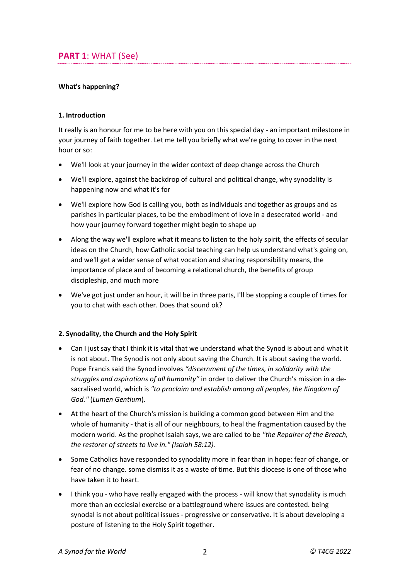# **PART 1**: WHAT (See)

### **What's happening?**

#### **1. Introduction**

It really is an honour for me to be here with you on this special day - an important milestone in your journey of faith together. Let me tell you briefly what we're going to cover in the next hour or so:

- We'll look at your journey in the wider context of deep change across the Church
- We'll explore, against the backdrop of cultural and political change, why synodality is happening now and what it's for
- We'll explore how God is calling you, both as individuals and together as groups and as parishes in particular places, to be the embodiment of love in a desecrated world - and how your journey forward together might begin to shape up
- Along the way we'll explore what it means to listen to the holy spirit, the effects of secular ideas on the Church, how Catholic social teaching can help us understand what's going on, and we'll get a wider sense of what vocation and sharing responsibility means, the importance of place and of becoming a relational church, the benefits of group discipleship, and much more
- We've got just under an hour, it will be in three parts, I'll be stopping a couple of times for you to chat with each other. Does that sound ok?

#### **2. Synodality, the Church and the Holy Spirit**

- Can I just say that I think it is vital that we understand what the Synod is about and what it is not about. The Synod is not only about saving the Church. It is about saving the world. Pope Francis said the Synod involves *"discernment of the times, in solidarity with the struggles and aspirations of all humanity"* in order to deliver the Church's mission in a desacralised world, which is *"to proclaim and establish among all peoples, the Kingdom of God."* (*Lumen Gentium*).
- At the heart of the Church's mission is building a common good between Him and the whole of humanity - that is all of our neighbours, to heal the fragmentation caused by the modern world. As the prophet Isaiah says, we are called to be *"the Repairer of the Breach, the restorer of streets to live in." (Isaiah 58:12).*
- Some Catholics have responded to synodality more in fear than in hope: fear of change, or fear of no change. some dismiss it as a waste of time. But this diocese is one of those who have taken it to heart.
- I think you who have really engaged with the process will know that synodality is much more than an ecclesial exercise or a battleground where issues are contested. being synodal is not about political issues - progressive or conservative. It is about developing a posture of listening to the Holy Spirit together.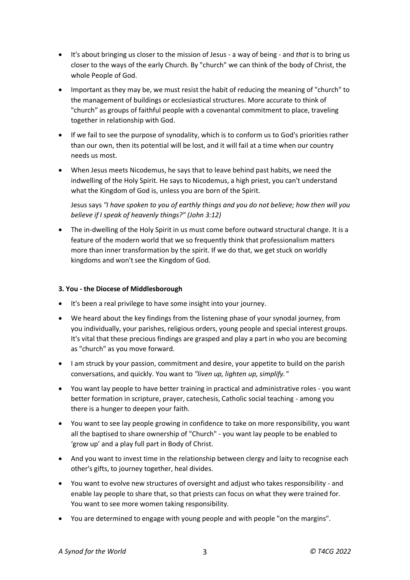- It's about bringing us closer to the mission of Jesus a way of being and *that* is to bring us closer to the ways of the early Church. By "church" we can think of the body of Christ, the whole People of God.
- Important as they may be, we must resist the habit of reducing the meaning of "church" to the management of buildings or ecclesiastical structures. More accurate to think of "church" as groups of faithful people with a covenantal commitment to place, traveling together in relationship with God.
- If we fail to see the purpose of synodality, which is to conform us to God's priorities rather than our own, then its potential will be lost, and it will fail at a time when our country needs us most.
- When Jesus meets Nicodemus, he says that to leave behind past habits, we need the indwelling of the Holy Spirit. He says to Nicodemus, a high priest, you can't understand what the Kingdom of God is, unless you are born of the Spirit.

Jesus says *"I have spoken to you of earthly things and you do not believe; how then will you believe if I speak of heavenly things?" (John 3:12)*

 The in-dwelling of the Holy Spirit in us must come before outward structural change. It is a feature of the modern world that we so frequently think that professionalism matters more than inner transformation by the spirit. If we do that, we get stuck on worldly kingdoms and won't see the Kingdom of God.

### **3***.* **You - the Diocese of Middlesborough**

- It's been a real privilege to have some insight into your journey.
- We heard about the key findings from the listening phase of your synodal journey, from you individually, your parishes, religious orders, young people and special interest groups. It's vital that these precious findings are grasped and play a part in who you are becoming as "church" as you move forward.
- I am struck by your passion, commitment and desire, your appetite to build on the parish conversations, and quickly. You want to *"liven up, lighten up, simplify."*
- You want lay people to have better training in practical and administrative roles you want better formation in scripture, prayer, catechesis, Catholic social teaching - among you there is a hunger to deepen your faith.
- You want to see lay people growing in confidence to take on more responsibility, you want all the baptised to share ownership of "Church" - you want lay people to be enabled to 'grow up' and a play full part in Body of Christ.
- And you want to invest time in the relationship between clergy and laity to recognise each other's gifts, to journey together, heal divides.
- You want to evolve new structures of oversight and adjust who takes responsibility and enable lay people to share that, so that priests can focus on what they were trained for. You want to see more women taking responsibility.
- You are determined to engage with young people and with people "on the margins".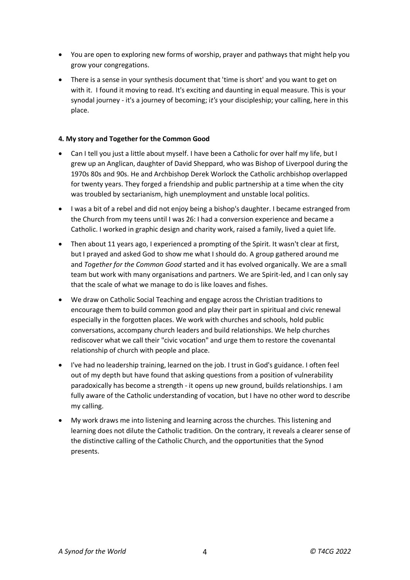- You are open to exploring new forms of worship, prayer and pathways that might help you grow your congregations.
- There is a sense in your synthesis document that 'time is short' and you want to get on with it. I found it moving to read. It's exciting and daunting in equal measure. This is your synodal journey - it's a journey of becoming; i*t's* your discipleship; your calling, here in this place.

### **4***.* **My story and Together for the Common Good**

- Can I tell you just a little about myself. I have been a Catholic for over half my life, but I grew up an Anglican, daughter of David Sheppard, who was Bishop of Liverpool during the 1970s 80s and 90s. He and Archbishop Derek Worlock the Catholic archbishop overlapped for twenty years. They forged a friendship and public partnership at a time when the city was troubled by sectarianism, high unemployment and unstable local politics.
- I was a bit of a rebel and did not enjoy being a bishop's daughter. I became estranged from the Church from my teens until I was 26: I had a conversion experience and became a Catholic. I worked in graphic design and charity work, raised a family, lived a quiet life.
- Then about 11 years ago, I experienced a prompting of the Spirit. It wasn't clear at first, but I prayed and asked God to show me what I should do. A group gathered around me and *Together for the Common Good* started and it has evolved organically. We are a small team but work with many organisations and partners. We are Spirit-led, and I can only say that the scale of what we manage to do is like loaves and fishes.
- We draw on Catholic Social Teaching and engage across the Christian traditions to encourage them to build common good and play their part in spiritual and civic renewal especially in the forgotten places. We work with churches and schools, hold public conversations, accompany church leaders and build relationships. We help churches rediscover what we call their "civic vocation" and urge them to restore the covenantal relationship of church with people and place.
- I've had no leadership training, learned on the job. I trust in God's guidance. I often feel out of my depth but have found that asking questions from a position of vulnerability paradoxically has become a strength - it opens up new ground, builds relationships. I am fully aware of the Catholic understanding of vocation, but I have no other word to describe my calling.
- My work draws me into listening and learning across the churches. This listening and learning does not dilute the Catholic tradition. On the contrary, it reveals a clearer sense of the distinctive calling of the Catholic Church, and the opportunities that the Synod presents.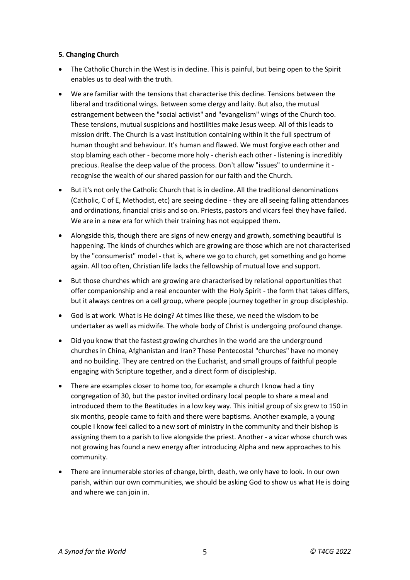#### **5***.* **Changing Church**

- The Catholic Church in the West is in decline. This is painful, but being open to the Spirit enables us to deal with the truth.
- We are familiar with the tensions that characterise this decline. Tensions between the liberal and traditional wings. Between some clergy and laity. But also, the mutual estrangement between the "social activist" and "evangelism" wings of the Church too. These tensions, mutual suspicions and hostilities make Jesus weep. All of this leads to mission drift. The Church is a vast institution containing within it the full spectrum of human thought and behaviour. It's human and flawed. We must forgive each other and stop blaming each other - become more holy - cherish each other - listening is incredibly precious. Realise the deep value of the process. Don't allow "issues" to undermine it recognise the wealth of our shared passion for our faith and the Church.
- But it's not only the Catholic Church that is in decline. All the traditional denominations (Catholic, C of E, Methodist, etc) are seeing decline - they are all seeing falling attendances and ordinations, financial crisis and so on. Priests, pastors and vicars feel they have failed. We are in a new era for which their training has not equipped them.
- Alongside this, though there are signs of new energy and growth, something beautiful is happening. The kinds of churches which are growing are those which are not characterised by the "consumerist" model - that is, where we go to church, get something and go home again. All too often, Christian life lacks the fellowship of mutual love and support.
- But those churches which are growing are characterised by relational opportunities that offer companionship and a real encounter with the Holy Spirit - the form that takes differs, but it always centres on a cell group, where people journey together in group discipleship.
- God is at work. What is He doing? At times like these, we need the wisdom to be undertaker as well as midwife. The whole body of Christ is undergoing profound change.
- Did you know that the fastest growing churches in the world are the underground churches in China, Afghanistan and Iran? These Pentecostal "churches" have no money and no building. They are centred on the Eucharist, and small groups of faithful people engaging with Scripture together, and a direct form of discipleship.
- There are examples closer to home too, for example a church I know had a tiny congregation of 30, but the pastor invited ordinary local people to share a meal and introduced them to the Beatitudes in a low key way. This initial group of six grew to 150 in six months, people came to faith and there were baptisms. Another example, a young couple I know feel called to a new sort of ministry in the community and their bishop is assigning them to a parish to live alongside the priest. Another - a vicar whose church was not growing has found a new energy after introducing Alpha and new approaches to his community.
- There are innumerable stories of change, birth, death, we only have to look. In our own parish, within our own communities, we should be asking God to show us what He is doing and where we can join in.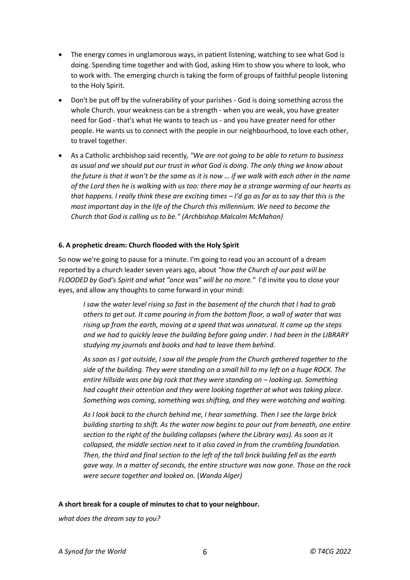- The energy comes in unglamorous ways, in patient listening, watching to see what God is doing. Spending time together and with God, asking Him to show you where to look, who to work with. The emerging church is taking the form of groups of faithful people listening to the Holy Spirit.
- Don't be put off by the vulnerability of your parishes God is doing something across the whole Church. your weakness can be a strength - when you are weak, you have greater need for God - that's what He wants to teach us - and you have greater need for other people. He wants us to connect with the people in our neighbourhood, to love each other, to travel together.
- As a Catholic archbishop said recently*, "We are not going to be able to return to business as usual and we should put our trust in what God is doing. The only thing we know about the future is that it won't be the same as it is now … if we walk with each other in the name of the Lord then he is walking with us too: there may be a strange warming of our hearts as that happens. I really think these are exciting times – I'd go as far as to say that this is the most important day in the life of the Church this millennium. We need to become the Church that God is calling us to be." (Archbishop Malcolm McMahon)*

#### **6. A prophetic dream: Church flooded with the Holy Spirit**

So now we're going to pause for a minute. I'm going to read you an account of a dream reported by a church leader seven years ago, about *"how the Church of our past will be FLOODED by God's Spirit and what "once was" will be no more."* I'd invite you to close your eyes, and allow any thoughts to come forward in your mind:

*I saw the water level rising so fast in the basement of the church that I had to grab others to get out. It came pouring in from the bottom floor, a wall of water that was rising up from the earth, moving at a speed that was unnatural. It came up the steps and we had to quickly leave the building before going under. I had been in the LIBRARY studying my journals and books and had to leave them behind.*

*As soon as I got outside, I saw all the people from the Church gathered together to the side of the building. They were standing on a small hill to my left on a huge ROCK. The entire hillside was one big rock that they were standing on - looking up. Something had caught their attention and they were looking together at what was taking place. Something was coming, something was shifting, and they were watching and waiting.*

*As I look back to the church behind me, I hear something. Then I see the large brick building starting to shift. As the water now begins to pour out from beneath, one entire section to the right of the building collapses (where the Library was). As soon as it collapsed, the middle section next to it also caved in from the crumbling foundation. Then, the third and final section to the left of the tall brick building fell as the earth gave way. In a matter of seconds, the entire structure was now gone. Those on the rock were secure together and looked on.* (*Wanda Alger)*

#### **A short break for a couple of minutes to chat to your neighbour.**

*what does the dream say to you?*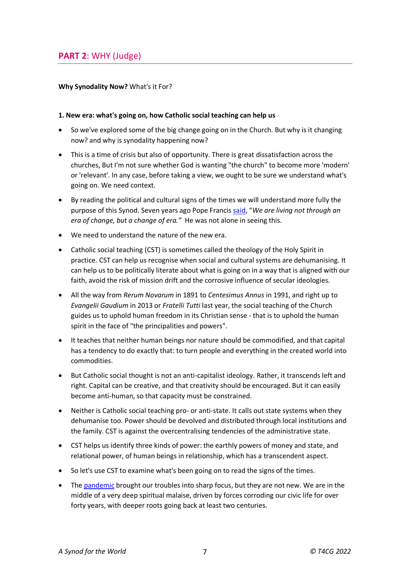# **PART 2**: WHY (Judge)

#### **Why Synodality Now?** What's it For?

#### **1. New era: what's going on, how Catholic social teaching can help us**

- So we've explored some of the big change going on in the Church. But why is it changing now? and why is synodality happening now?
- This is a time of crisis but also of opportunity. There is great dissatisfaction across the churches, But I'm not sure whether God is wanting "the church" to become more 'modern' or 'relevant'. In any case, before taking a view, we ought to be sure we understand what's going on. We need context.
- By reading the political and cultural signs of the times we will understand more fully the purpose of this Synod. Seven years ago Pope Francis [said,](https://aleteia.org/blogs/aleteia-blog/pope-francis-we-are-not-living-an-era-of-change-but-a-change-of-era/) "*We are living not through an era of change, but a change of era."* He was not alone in seeing this.
- We need to understand the nature of the new era.
- Catholic social teaching (CST) is sometimes called the theology of the Holy Spirit in practice. CST can help us recognise when social and cultural systems are dehumanising. It can help us to be politically literate about what is going on in a way that is aligned with our faith, avoid the risk of mission drift and the corrosive influence of secular ideologies.
- All the way from *Rerum Novarum* in 1891 to *Centesimus Annus* in 1991, and right up to *Evangelii Gaudium* in 2013 or *Fratelli Tutti* last year, the social teaching of the Church guides us to uphold human freedom in its Christian sense - that is to uphold the human spirit in the face of "the principalities and powers".
- It teaches that neither human beings nor nature should be commodified, and that capital has a tendency to do exactly that: to turn people and everything in the created world into commodities.
- But Catholic social thought is not an anti-capitalist ideology. Rather, it transcends left and right. Capital can be creative, and that creativity should be encouraged. But it can easily become anti-human, so that capacity must be constrained.
- Neither is Catholic social teaching pro- or anti-state. It calls out state systems when they dehumanise too. Power should be devolved and distributed through local institutions and the family. CST is against the overcentralising tendencies of the administrative state.
- CST helps us identify three kinds of power: the earthly powers of money and state, and relational power, of human beings in relationship, which has a transcendent aspect.
- So let's use CST to examine what's been going on to read the signs of the times.
- The [pandemic](https://togetherforthecommongood.co.uk/leading-thinkers/the-plague-and-the-parish) brought our troubles into sharp focus, but they are not new. We are in the middle of a very deep spiritual malaise, driven by forces corroding our civic life for over forty years, with deeper roots going back at least two centuries.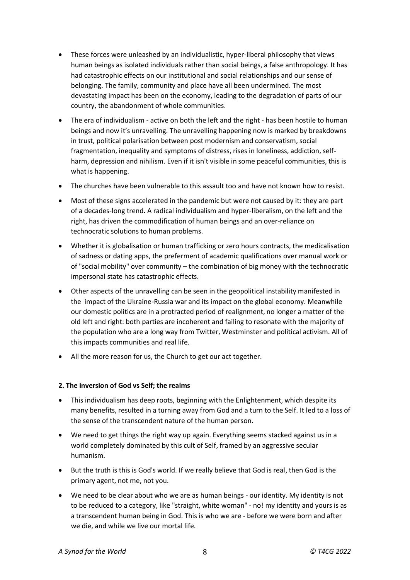- These forces were unleashed by an individualistic, hyper-liberal philosophy that views human beings as isolated individuals rather than social beings, a false anthropology. It has had catastrophic effects on our institutional and social relationships and our sense of belonging. The family, community and place have all been undermined. The most devastating impact has been on the economy, leading to the degradation of parts of our country, the abandonment of whole communities.
- The era of individualism active on both the left and the right has been hostile to human beings and now it's unravelling. The unravelling happening now is marked by breakdowns in trust, political polarisation between post modernism and conservatism, social fragmentation, inequality and symptoms of distress, rises in loneliness, addiction, selfharm, depression and nihilism. Even if it isn't visible in some peaceful communities, this is what is happening.
- The churches have been vulnerable to this assault too and have not known how to resist.
- Most of these signs accelerated in the pandemic but were not caused by it: they are part of a decades-long trend. A radical individualism and hyper-liberalism, on the left and the right, has driven the commodification of human beings and an over-reliance on technocratic solutions to human problems.
- Whether it is globalisation or human trafficking or zero hours contracts, the medicalisation of sadness or dating apps, the preferment of academic qualifications over manual work or of "social mobility" over community – the combination of big money with the technocratic impersonal state has catastrophic effects.
- Other aspects of the unravelling can be seen in the geopolitical instability manifested in the impact of the Ukraine-Russia war and its impact on the global economy. Meanwhile our domestic politics are in a protracted period of realignment, no longer a matter of the old left and right: both parties are incoherent and failing to resonate with the majority of the population who are a long way from Twitter, Westminster and political activism. All of this impacts communities and real life.
- All the more reason for us, the Church to get our act together.

#### **2. The inversion of God vs Self; the realms**

- This individualism has deep roots, beginning with the Enlightenment, which despite its many benefits, resulted in a turning away from God and a turn to the Self. It led to a loss of the sense of the transcendent nature of the human person.
- We need to get things the right way up again. Everything seems stacked against us in a world completely dominated by this cult of Self, framed by an aggressive secular humanism.
- But the truth is this is God's world. If we really believe that God is real, then God is the primary agent, not me, not you.
- We need to be clear about who we are as human beings our identity. My identity is not to be reduced to a category, like "straight, white woman" - no! my identity and yours is as a transcendent human being in God. This is who we are - before we were born and after we die, and while we live our mortal life.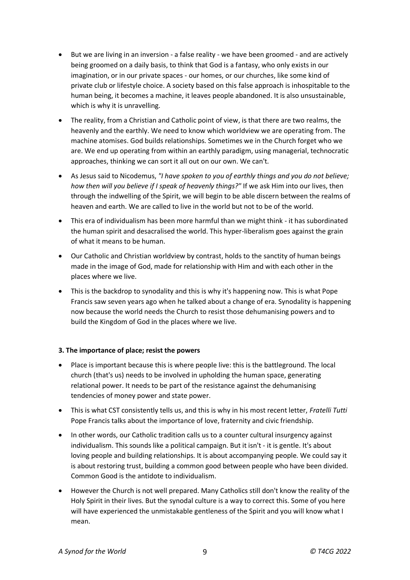- But we are living in an inversion a false reality we have been groomed and are actively being groomed on a daily basis, to think that God is a fantasy, who only exists in our imagination, or in our private spaces - our homes, or our churches, like some kind of private club or lifestyle choice. A society based on this false approach is inhospitable to the human being, it becomes a machine, it leaves people abandoned. It is also unsustainable, which is why it is unravelling.
- The reality, from a Christian and Catholic point of view, is that there are two realms, the heavenly and the earthly. We need to know which worldview we are operating from. The machine atomises. God builds relationships. Sometimes we in the Church forget who we are. We end up operating from within an earthly paradigm, using managerial, technocratic approaches, thinking we can sort it all out on our own. We can't.
- As Jesus said to Nicodemus, *"I have spoken to you of earthly things and you do not believe; how then will you believe if I speak of heavenly things?"* If we ask Him into our lives, then through the indwelling of the Spirit, we will begin to be able discern between the realms of heaven and earth. We are called to live in the world but not to be of the world.
- This era of individualism has been more harmful than we might think it has subordinated the human spirit and desacralised the world. This hyper-liberalism goes against the grain of what it means to be human.
- Our Catholic and Christian worldview by contrast, holds to the sanctity of human beings made in the image of God, made for relationship with Him and with each other in the places where we live.
- This is the backdrop to synodality and this is why it's happening now. This is what Pope Francis saw seven years ago when he talked about a change of era. Synodality is happening now because the world needs the Church to resist those dehumanising powers and to build the Kingdom of God in the places where we live.

#### **3. The importance of place; resist the powers**

- Place is important because this is where people live: this is the battleground. The local church (that's us) needs to be involved in upholding the human space, generating relational power. It needs to be part of the resistance against the dehumanising tendencies of money power and state power.
- This is what CST consistently tells us, and this is why in his most recent letter, *Fratelli Tutti*  Pope Francis talks about the importance of love, fraternity and civic friendship.
- In other words, our Catholic tradition calls us to a counter cultural insurgency against individualism. This sounds like a political campaign. But it isn't - it is gentle. It's about loving people and building relationships. It is about accompanying people. We could say it is about restoring trust, building a common good between people who have been divided. Common Good is the antidote to individualism.
- However the Church is not well prepared. Many Catholics still don't know the reality of the Holy Spirit in their lives. But the synodal culture is a way to correct this. Some of you here will have experienced the unmistakable gentleness of the Spirit and you will know what I mean.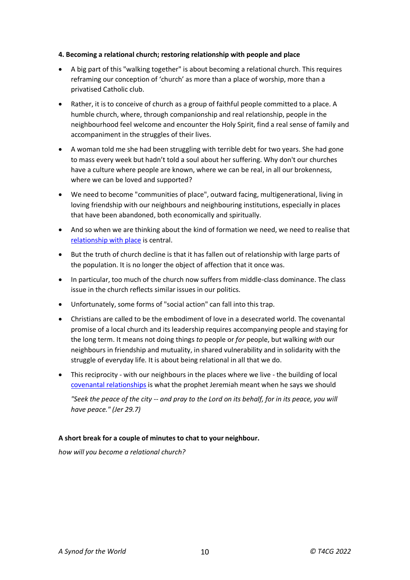#### **4. Becoming a relational church; restoring relationship with people and place**

- A big part of this "walking together" is about becoming a relational church. This requires reframing our conception of 'church' as more than a place of worship, more than a privatised Catholic club.
- Rather, it is to conceive of church as a group of faithful people committed to a place. A humble church, where, through companionship and real relationship, people in the neighbourhood feel welcome and encounter the Holy Spirit, find a real sense of family and accompaniment in the struggles of their lives.
- A woman told me she had been struggling with terrible debt for two years. She had gone to mass every week but hadn't told a soul about her suffering. Why don't our churches have a culture where people are known, where we can be real, in all our brokenness, where we can be loved and supported?
- We need to become "communities of place", outward facing, multigenerational, living in loving friendship with our neighbours and neighbouring institutions, especially in places that have been abandoned, both economically and spiritually.
- And so when we are thinking about the kind of formation we need, we need to realise that [relationship with place](https://togetherforthecommongood.co.uk/leading-thinkers/the-politics-of-grace-and-place) is central.
- But the truth of church decline is that it has fallen out of relationship with large parts of the population. It is no longer the object of affection that it once was.
- In particular, too much of the church now suffers from middle-class dominance. The class issue in the church reflects similar issues in our politics.
- Unfortunately, some forms of "social action" can fall into this trap.
- Christians are called to be the embodiment of love in a desecrated world. The covenantal promise of a local church and its leadership requires accompanying people and staying for the long term. It means not doing things *to* people or *for* people, but walking *with* our neighbours in friendship and mutuality, in shared vulnerability and in solidarity with the struggle of everyday life. It is about being relational in all that we do.
- This reciprocity with our neighbours in the places where we live the building of local [covenantal relationships](https://togetherforthecommongood.co.uk/leading-thinkers/renewing-the-covenant) is what the prophet Jeremiah meant when he says we should

*"Seek the peace of the city -- and pray to the Lord on its behalf, for in its peace, you will have peace." (Jer 29.7)*

### **A short break for a couple of minutes to chat to your neighbour.**

*how will you become a relational church?*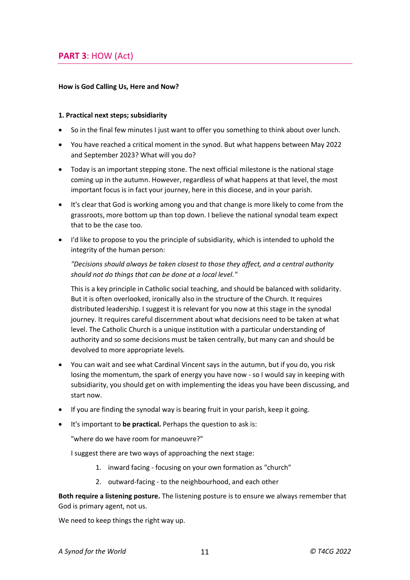# **PART 3**: HOW (Act)

#### **How is God Calling Us, Here and Now?**

#### **1. Practical next steps; subsidiarity**

- So in the final few minutes I just want to offer you something to think about over lunch.
- You have reached a critical moment in the synod. But what happens between May 2022 and September 2023? What will you do?
- Today is an important stepping stone. The next official milestone is the national stage coming up in the autumn. However, regardless of what happens at that level, the most important focus is in fact your journey, here in this diocese, and in your parish.
- It's clear that God is working among you and that change is more likely to come from the grassroots, more bottom up than top down. I believe the national synodal team expect that to be the case too.
- I'd like to propose to you the principle of subsidiarity, which is intended to uphold the integrity of the human person:

### *"Decisions should always be taken closest to those they affect, and a central authority should not do things that can be done at a local level."*

This is a key principle in Catholic social teaching, and should be balanced with solidarity. But it is often overlooked, ironically also in the structure of the Church. It requires distributed leadership. I suggest it is relevant for you now at this stage in the synodal journey. It requires careful discernment about what decisions need to be taken at what level. The Catholic Church is a unique institution with a particular understanding of authority and so some decisions must be taken centrally, but many can and should be devolved to more appropriate levels.

- You can wait and see what Cardinal Vincent says in the autumn, but if you do, you risk losing the momentum, the spark of energy you have now - so I would say in keeping with subsidiarity, you should get on with implementing the ideas you have been discussing, and start now.
- If you are finding the synodal way is bearing fruit in your parish, keep it going.
- It's important to **be practical.** Perhaps the question to ask is:

"where do we have room for manoeuvre?"

I suggest there are two ways of approaching the next stage:

- 1. inward facing focusing on your own formation as "church"
- 2. outward-facing to the neighbourhood, and each other

**Both require a listening posture.** The listening posture is to ensure we always remember that God is primary agent, not us.

We need to keep things the right way up.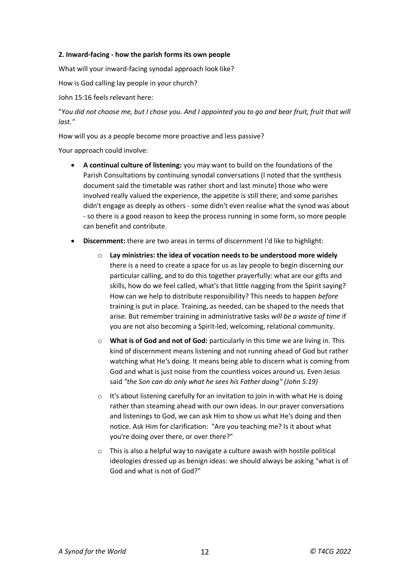#### **2. Inward-facing - how the parish forms its own people**

What will your inward-facing synodal approach look like?

How is God calling lay people in your church?

John 15:16 feels relevant here:

"*You did not choose me, but I chose you. And I appointed you to go and bear fruit, fruit that will last."*

How will you as a people become more proactive and less passive?

Your approach could involve:

- **A continual culture of listening:** you may want to build on the foundations of the Parish Consultations by continuing synodal conversations (I noted that the synthesis document said the timetable was rather short and last minute) those who were involved really valued the experience, the appetite is still there; and some parishes didn't engage as deeply as others - some didn't even realise what the synod was about - so there is a good reason to keep the process running in some form, so more people can benefit and contribute.
- **Discernment:** there are two areas in terms of discernment I'd like to highlight:
	- o **Lay ministries: the idea of vocation needs to be understood more widely** there is a need to create a space for us as lay people to begin discerning our particular calling, and to do this together prayerfully: what are our gifts and skills, how do we feel called, what's that little nagging from the Spirit saying? How can we help to distribute responsibility? This needs to happen *before* training is put in place. Training, as needed, can be shaped to the needs that arise. But remember training in administrative tasks *will be a waste of time* if you are not also becoming a Spirit-led, welcoming, relational community.
	- o **What is of God and not of God:** particularly in this time we are living in. This kind of discernment means listening and not running ahead of God but rather watching what He's doing. It means being able to discern what is coming from God and what is just noise from the countless voices around us. Even Jesus said *"the Son can do only what he sees his Father doing" (John 5:19)*
	- $\circ$  It's about listening carefully for an invitation to join in with what He is doing rather than steaming ahead with our own ideas. In our prayer conversations and listenings to God, we can ask Him to show us what He's doing and then notice. Ask Him for clarification: "Are you teaching me? Is it about what you're doing over there, or over there?"
	- o This is also a helpful way to navigate a culture awash with hostile political ideologies dressed up as benign ideas: we should always be asking "what is of God and what is not of God?"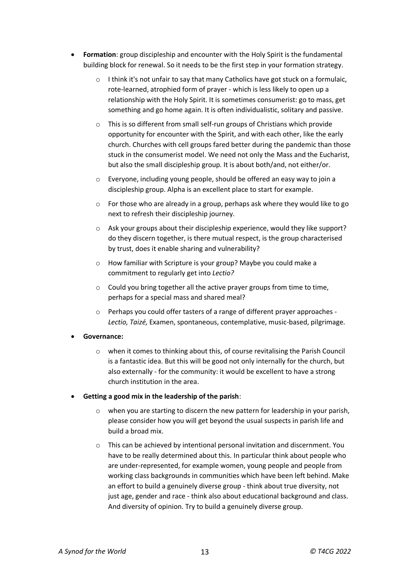- **Formation**: group discipleship and encounter with the Holy Spirit is the fundamental building block for renewal. So it needs to be the first step in your formation strategy.
	- o I think it's not unfair to say that many Catholics have got stuck on a formulaic, rote-learned, atrophied form of prayer - which is less likely to open up a relationship with the Holy Spirit. It is sometimes consumerist: go to mass, get something and go home again. It is often individualistic, solitary and passive.
	- o This is so different from small self-run groups of Christians which provide opportunity for encounter with the Spirit, and with each other, like the early church. Churches with cell groups fared better during the pandemic than those stuck in the consumerist model. We need not only the Mass and the Eucharist, but also the small discipleship group. It is about both/and, not either/or.
	- $\circ$  Everyone, including young people, should be offered an easy way to join a discipleship group. Alpha is an excellent place to start for example.
	- $\circ$  For those who are already in a group, perhaps ask where they would like to go next to refresh their discipleship journey.
	- o Ask your groups about their discipleship experience, would they like support? do they discern together, is there mutual respect, is the group characterised by trust, does it enable sharing and vulnerability?
	- o How familiar with Scripture is your group? Maybe you could make a commitment to regularly get into *Lectio?*
	- o Could you bring together all the active prayer groups from time to time, perhaps for a special mass and shared meal?
	- o Perhaps you could offer tasters of a range of different prayer approaches *Lectio, Taizé,* Examen, spontaneous, contemplative, music-based, pilgrimage.

### **Governance:**

- $\circ$  when it comes to thinking about this, of course revitalising the Parish Council is a fantastic idea. But this will be good not only internally for the church, but also externally - for the community: it would be excellent to have a strong church institution in the area.
- **Getting a good mix in the leadership of the parish**:
	- $\circ$  when you are starting to discern the new pattern for leadership in your parish, please consider how you will get beyond the usual suspects in parish life and build a broad mix.
	- o This can be achieved by intentional personal invitation and discernment. You have to be really determined about this. In particular think about people who are under-represented, for example women, young people and people from working class backgrounds in communities which have been left behind. Make an effort to build a genuinely diverse group - think about true diversity, not just age, gender and race - think also about educational background and class. And diversity of opinion. Try to build a genuinely diverse group.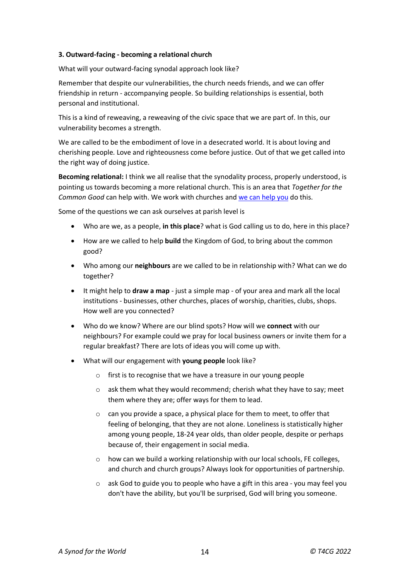#### **3. Outward-facing - becoming a relational church**

What will your outward-facing synodal approach look like?

Remember that despite our vulnerabilities, the church needs friends, and we can offer friendship in return - accompanying people. So building relationships is essential, both personal and institutional.

This is a kind of reweaving, a reweaving of the civic space that we are part of. In this, our vulnerability becomes a strength.

We are called to be the embodiment of love in a desecrated world. It is about loving and cherishing people. Love and righteousness come before justice. Out of that we get called into the right way of doing justice.

**Becoming relational:** I think we all realise that the synodality process, properly understood, is pointing us towards becoming a more relational church. This is an area that *Together for the Common Good* can help with. We work with churches and we can [help you](https://togetherforthecommongood.co.uk/wp-content/uploads/2022/03/Common-Good-Journey-brochure-March-22.pdf) do this.

Some of the questions we can ask ourselves at parish level is

- Who are we, as a people, **in this place**? what is God calling us to do, here in this place?
- How are we called to help **build** the Kingdom of God, to bring about the common good?
- Who among our **neighbours** are we called to be in relationship with? What can we do together?
- It might help to **draw a map** just a simple map of your area and mark all the local institutions - businesses, other churches, places of worship, charities, clubs, shops. How well are you connected?
- Who do we know? Where are our blind spots? How will we **connect** with our neighbours? For example could we pray for local business owners or invite them for a regular breakfast? There are lots of ideas you will come up with.
- What will our engagement with **young people** look like?
	- o first is to recognise that we have a treasure in our young people
	- $\circ$  ask them what they would recommend; cherish what they have to say; meet them where they are; offer ways for them to lead.
	- o can you provide a space, a physical place for them to meet, to offer that feeling of belonging, that they are not alone. Loneliness is statistically higher among young people, 18-24 year olds, than older people, despite or perhaps because of, their engagement in social media.
	- o how can we build a working relationship with our local schools, FE colleges, and church and church groups? Always look for opportunities of partnership.
	- o ask God to guide you to people who have a gift in this area you may feel you don't have the ability, but you'll be surprised, God will bring you someone.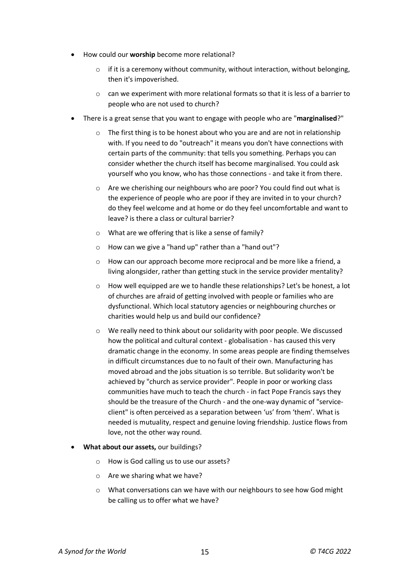- How could our **worship** become more relational?
	- $\circ$  if it is a ceremony without community, without interaction, without belonging, then it's impoverished.
	- $\circ$  can we experiment with more relational formats so that it is less of a barrier to people who are not used to church?
- There is a great sense that you want to engage with people who are "**marginalised**?"
	- o The first thing is to be honest about who you are and are not in relationship with. If you need to do "outreach" it means you don't have connections with certain parts of the community: that tells you something. Perhaps you can consider whether the church itself has become marginalised. You could ask yourself who you know, who has those connections - and take it from there.
	- o Are we cherishing our neighbours who are poor? You could find out what is the experience of people who are poor if they are invited in to your church? do they feel welcome and at home or do they feel uncomfortable and want to leave? is there a class or cultural barrier?
	- o What are we offering that is like a sense of family?
	- o How can we give a "hand up" rather than a "hand out"?
	- $\circ$  How can our approach become more reciprocal and be more like a friend, a living alongsider, rather than getting stuck in the service provider mentality?
	- $\circ$  How well equipped are we to handle these relationships? Let's be honest, a lot of churches are afraid of getting involved with people or families who are dysfunctional. Which local statutory agencies or neighbouring churches or charities would help us and build our confidence?
	- $\circ$  We really need to think about our solidarity with poor people. We discussed how the political and cultural context - globalisation - has caused this very dramatic change in the economy. In some areas people are finding themselves in difficult circumstances due to no fault of their own. Manufacturing has moved abroad and the jobs situation is so terrible. But solidarity won't be achieved by "church as service provider". People in poor or working class communities have much to teach the church - in fact Pope Francis says they should be the treasure of the Church - and the one-way dynamic of "serviceclient" is often perceived as a separation between 'us' from 'them'. What is needed is mutuality, respect and genuine loving friendship. Justice flows from love, not the other way round.
- **What about our assets,** our buildings?
	- o How is God calling us to use our assets?
	- o Are we sharing what we have?
	- o What conversations can we have with our neighbours to see how God might be calling us to offer what we have?